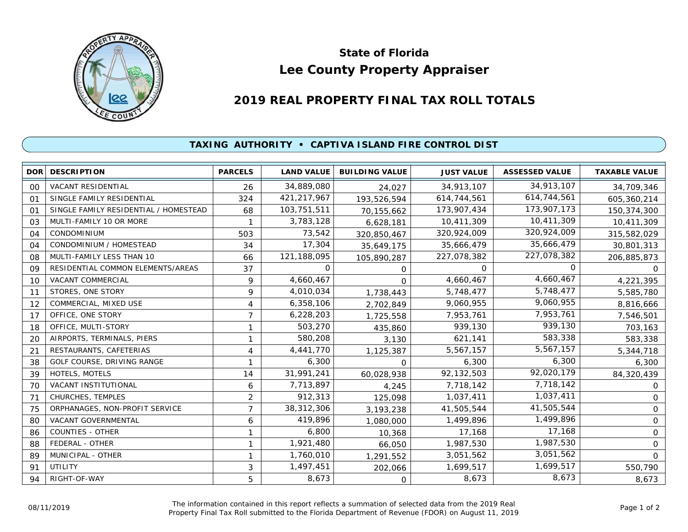

## **Lee County Property Appraiser State of Florida**

## **2019 REAL PROPERTY FINAL TAX ROLL TOTALS**

## **TAXING AUTHORITY • CAPTIVA ISLAND FIRE CONTROL DIST**

| <b>DOR</b>     | <b>DESCRIPTION</b>                    | <b>PARCELS</b> | <b>LAND VALUE</b> | <b>BUILDING VALUE</b> | <b>JUST VALUE</b> | <b>ASSESSED VALUE</b> | <b>TAXABLE VALUE</b> |
|----------------|---------------------------------------|----------------|-------------------|-----------------------|-------------------|-----------------------|----------------------|
| 00             | VACANT RESIDENTIAL                    | 26             | 34,889,080        | 24,027                | 34,913,107        | 34,913,107            | 34,709,346           |
| O <sub>1</sub> | SINGLE FAMILY RESIDENTIAL             | 324            | 421,217,967       | 193,526,594           | 614,744,561       | 614,744,561           | 605,360,214          |
| 01             | SINGLE FAMILY RESIDENTIAL / HOMESTEAD | 68             | 103,751,511       | 70,155,662            | 173,907,434       | 173,907,173           | 150,374,300          |
| 03             | MULTI-FAMILY 10 OR MORE               |                | 3,783,128         | 6,628,181             | 10,411,309        | 10,411,309            | 10,411,309           |
| 04             | <b>CONDOMINIUM</b>                    | 503            | 73,542            | 320,850,467           | 320,924,009       | 320,924,009           | 315,582,029          |
| 04             | CONDOMINIUM / HOMESTEAD               | 34             | 17,304            | 35,649,175            | 35,666,479        | 35,666,479            | 30,801,313           |
| 08             | MULTI-FAMILY LESS THAN 10             | 66             | 121,188,095       | 105,890,287           | 227,078,382       | 227,078,382           | 206,885,873          |
| 09             | RESIDENTIAL COMMON ELEMENTS/AREAS     | 37             | $\Omega$          | $\Omega$              | $\Omega$          | $\Omega$              | $\Omega$             |
| 10             | VACANT COMMERCIAL                     | 9              | 4,660,467         | $\Omega$              | 4,660,467         | 4,660,467             | 4,221,395            |
| 11             | STORES, ONE STORY                     | 9              | 4,010,034         | 1,738,443             | 5,748,477         | 5,748,477             | 5,585,780            |
| 12             | COMMERCIAL, MIXED USE                 | 4              | 6,358,106         | 2,702,849             | 9,060,955         | 9,060,955             | 8,816,666            |
| 17             | OFFICE, ONE STORY                     | $\overline{7}$ | 6,228,203         | 1,725,558             | 7,953,761         | 7,953,761             | 7,546,501            |
| 18             | OFFICE, MULTI-STORY                   | $\mathbf{1}$   | 503,270           | 435,860               | 939,130           | 939,130               | 703,163              |
| 20             | AIRPORTS, TERMINALS, PIERS            | 1              | 580,208           | 3,130                 | 621,141           | 583,338               | 583,338              |
| 21             | RESTAURANTS, CAFETERIAS               | 4              | 4,441,770         | 1,125,387             | 5,567,157         | 5,567,157             | 5,344,718            |
| 38             | GOLF COURSE, DRIVING RANGE            | 1              | 6,300             | $\Omega$              | 6,300             | 6,300                 | 6,300                |
| 39             | HOTELS, MOTELS                        | 14             | 31,991,241        | 60,028,938            | 92,132,503        | 92,020,179            | 84,320,439           |
| 70             | VACANT INSTITUTIONAL                  | 6              | 7,713,897         | 4,245                 | 7,718,142         | 7,718,142             | $\mathbf{O}$         |
| 71             | CHURCHES, TEMPLES                     | $\overline{2}$ | 912,313           | 125,098               | 1,037,411         | 1,037,411             | 0                    |
| 75             | ORPHANAGES, NON-PROFIT SERVICE        | 7              | 38,312,306        | 3,193,238             | 41,505,544        | 41,505,544            | 0                    |
| 80             | VACANT GOVERNMENTAL                   | 6              | 419,896           | 1,080,000             | 1,499,896         | 1,499,896             | 0                    |
| 86             | <b>COUNTIES - OTHER</b>               | $\mathbf{1}$   | 6,800             | 10,368                | 17,168            | 17,168                | $\Omega$             |
| 88             | FEDERAL - OTHER                       | 1              | 1,921,480         | 66,050                | 1,987,530         | 1,987,530             | $\mathbf{O}$         |
| 89             | MUNICIPAL - OTHER                     | 1              | 1,760,010         | 1,291,552             | 3,051,562         | 3,051,562             | $\Omega$             |
| 91             | UTILITY                               | 3              | 1,497,451         | 202,066               | 1,699,517         | 1,699,517             | 550,790              |
| 94             | RIGHT-OF-WAY                          | 5              | 8,673             | $\Omega$              | 8,673             | 8,673                 | 8,673                |